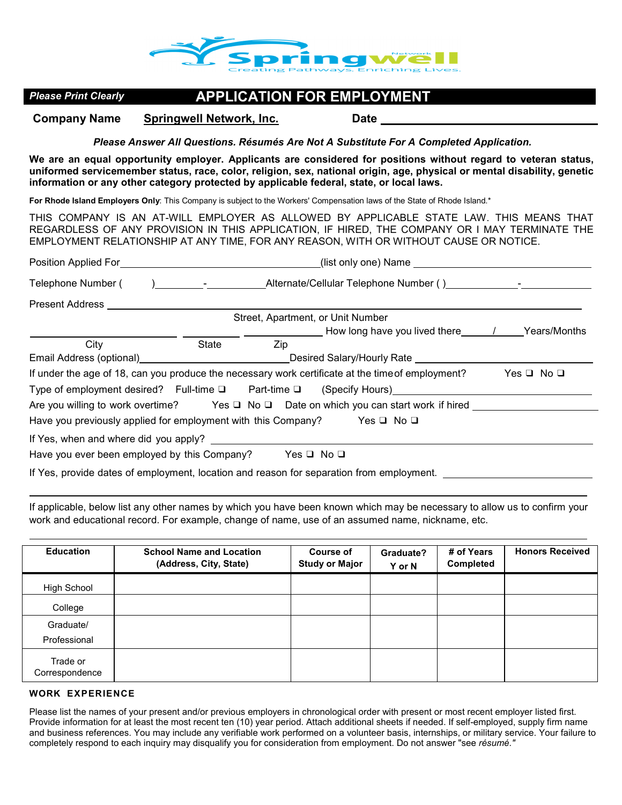

# *Please Print Clearly* **APPLICATION FOR EMPLOYMENT**

**Company Name Springwell Network, Inc. Date** 

*Please Answer All Questions. Résumés Are Not A Substitute For A Completed Application.* 

**We are an equal opportunity employer. Applicants are considered for positions without regard to veteran status, uniformed servicemember status, race, color, religion, sex, national origin, age, physical or mental disability, genetic information or any other category protected by applicable federal, state, or local laws.** 

**For Rhode Island Employers Only**: This Company is subject to the Workers' Compensation laws of the State of Rhode Island.\*

THIS COMPANY IS AN AT-WILL EMPLOYER AS ALLOWED BY APPLICABLE STATE LAW. THIS MEANS THAT REGARDLESS OF ANY PROVISION IN THIS APPLICATION, IF HIRED, THE COMPANY OR I MAY TERMINATE THE EMPLOYMENT RELATIONSHIP AT ANY TIME, FOR ANY REASON, WITH OR WITHOUT CAUSE OR NOTICE.

| Telephone Number (                                                                       | <u>)_______________________Alternate/Cellular Telephone Number()___________________</u> |     |                                                                                                     |                      |  |
|------------------------------------------------------------------------------------------|-----------------------------------------------------------------------------------------|-----|-----------------------------------------------------------------------------------------------------|----------------------|--|
| <b>Present Address</b>                                                                   |                                                                                         |     |                                                                                                     |                      |  |
|                                                                                          |                                                                                         |     | Street, Apartment, or Unit Number                                                                   |                      |  |
|                                                                                          |                                                                                         |     |                                                                                                     |                      |  |
| City                                                                                     | State                                                                                   | Zip |                                                                                                     |                      |  |
|                                                                                          |                                                                                         |     | Email Address (optional)_____________________________Desired Salary/Hourly Rate ___________________ |                      |  |
|                                                                                          |                                                                                         |     | If under the age of 18, can you produce the necessary work certificate at the time of employment?   | Yes $\Box$ No $\Box$ |  |
|                                                                                          |                                                                                         |     | Type of employment desired? Full-time □ Part-time □ (Specify Hours)________________________________ |                      |  |
| Are you willing to work overtime? Yes □ No □ Date on which you can start work if hired   |                                                                                         |     |                                                                                                     |                      |  |
| Have you previously applied for employment with this Company? Yes $\Box$ No $\Box$       |                                                                                         |     |                                                                                                     |                      |  |
| If Yes, when and where did you apply?                                                    |                                                                                         |     |                                                                                                     |                      |  |
| Have you ever been employed by this Company? Yes $\Box$ No $\Box$                        |                                                                                         |     |                                                                                                     |                      |  |
| If Yes, provide dates of employment, location and reason for separation from employment. |                                                                                         |     |                                                                                                     |                      |  |

If applicable, below list any other names by which you have been known which may be necessary to allow us to confirm your work and educational record. For example, change of name, use of an assumed name, nickname, etc.

Education | School Name and Location **(Address, City, State) Course of Study or Major Graduate? Y or N # of Years Completed Honors Received**  High School Γ Γ

## College Graduate/ Professional Γ Trade or **Correspondence**

### **WORK EXPERIENCE**

Please list the names of your present and/or previous employers in chronological order with present or most recent employer listed first. Provide information for at least the most recent ten (10) year period. Attach additional sheets if needed. If self-employed, supply firm name and business references. You may include any verifiable work performed on a volunteer basis, internships, or military service. Your failure to completely respond to each inquiry may disqualify you for consideration from employment. Do not answer "see *résumé."*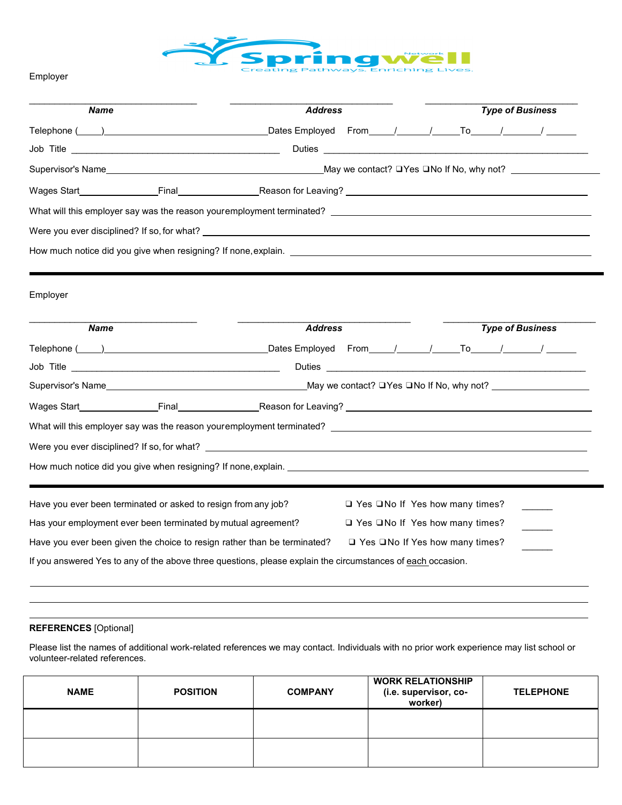

Employer

| <b>Name</b> | <b>Address</b>                                                                                                                                                                                                                 | <b>Type of Business</b> |  |  |
|-------------|--------------------------------------------------------------------------------------------------------------------------------------------------------------------------------------------------------------------------------|-------------------------|--|--|
|             |                                                                                                                                                                                                                                |                         |  |  |
|             |                                                                                                                                                                                                                                |                         |  |  |
|             |                                                                                                                                                                                                                                |                         |  |  |
|             |                                                                                                                                                                                                                                |                         |  |  |
|             |                                                                                                                                                                                                                                |                         |  |  |
|             |                                                                                                                                                                                                                                |                         |  |  |
|             |                                                                                                                                                                                                                                |                         |  |  |
|             |                                                                                                                                                                                                                                |                         |  |  |
|             |                                                                                                                                                                                                                                |                         |  |  |
| <b>Name</b> | <b>Address</b>                                                                                                                                                                                                                 | <b>Type of Business</b> |  |  |
|             | Telephone (Changel 2011) [2012 To Lates Employed From The Manuscript Control of To Lates Control Dates Employed From The Manuscript Control of To Lates Control of To Lates Control of To Lates Control of To Lates Control of |                         |  |  |
|             |                                                                                                                                                                                                                                |                         |  |  |
| Employer    |                                                                                                                                                                                                                                |                         |  |  |
|             |                                                                                                                                                                                                                                |                         |  |  |
|             |                                                                                                                                                                                                                                |                         |  |  |
|             |                                                                                                                                                                                                                                |                         |  |  |

| Have you ever been terminated or asked to resign from any job?                                              | $\Box$ Yes $\Box$ No If Yes how many times? |  |  |  |
|-------------------------------------------------------------------------------------------------------------|---------------------------------------------|--|--|--|
| Has your employment ever been terminated by mutual agreement?                                               | $\Box$ Yes $\Box$ No If Yes how many times? |  |  |  |
| Have you ever been given the choice to resign rather than be terminated?                                    | $\Box$ Yes $\Box$ No If Yes how many times? |  |  |  |
| If you answered Yes to any of the above three questions, please explain the circumstances of each occasion. |                                             |  |  |  |

#### **REFERENCES** [Optional]

Please list the names of additional work-related references we may contact. Individuals with no prior work experience may list school or volunteer-related references.

| <b>NAME</b> | <b>POSITION</b> | <b>COMPANY</b> | <b>WORK RELATIONSHIP</b><br>(i.e. supervisor, co-<br>worker) | <b>TELEPHONE</b> |
|-------------|-----------------|----------------|--------------------------------------------------------------|------------------|
|             |                 |                |                                                              |                  |
|             |                 |                |                                                              |                  |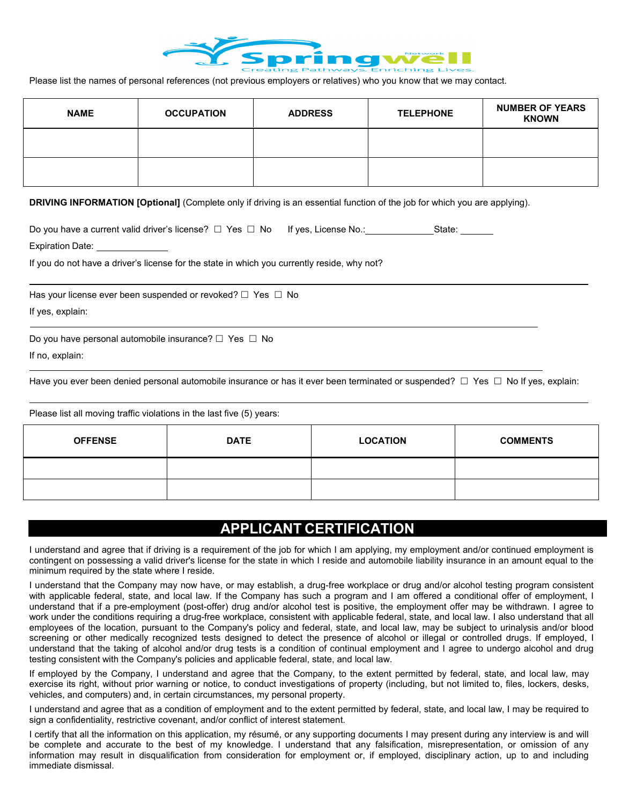

Please list the names of personal references (not previous employers or relatives) who you know that we may contact.

| <b>NAME</b> | <b>OCCUPATION</b> | <b>ADDRESS</b> | <b>TELEPHONE</b> | <b>NUMBER OF YEARS</b><br><b>KNOWN</b> |
|-------------|-------------------|----------------|------------------|----------------------------------------|
|             |                   |                |                  |                                        |
|             |                   |                |                  |                                        |

**DRIVING INFORMATION [Optional]** (Complete only if driving is an essential function of the job for which you are applying).

| Do you have a current valid driver's license? $\Box$ Yes $\Box$ No If yes, License No.: | State: |
|-----------------------------------------------------------------------------------------|--------|
| <b>Expiration Date:</b>                                                                 |        |

If you do not have a driver's license for the state in which you currently reside, why not?

Has your license ever been suspended or revoked?  $\Box$  Yes  $\Box$  No

If yes, explain:

Do you have personal automobile insurance?  $\Box$  Yes  $\Box$  No

If no, explain:

Have you ever been denied personal automobile insurance or has it ever been terminated or suspended?  $\Box$  Yes  $\Box$  No If yes, explain:

Please list all moving traffic violations in the last five (5) years:

| <b>OFFENSE</b> | <b>DATE</b> | <b>LOCATION</b> | <b>COMMENTS</b> |
|----------------|-------------|-----------------|-----------------|
|                |             |                 |                 |
|                |             |                 |                 |

# **APPLICANT CERTIFICATION**

I understand and agree that if driving is a requirement of the job for which I am applying, my employment and/or continued employment is contingent on possessing a valid driver's license for the state in which I reside and automobile liability insurance in an amount equal to the minimum required by the state where I reside.

I understand that the Company may now have, or may establish, a drug-free workplace or drug and/or alcohol testing program consistent with applicable federal, state, and local law. If the Company has such a program and I am offered a conditional offer of employment, I understand that if a pre-employment (post-offer) drug and/or alcohol test is positive, the employment offer may be withdrawn. I agree to work under the conditions requiring a drug-free workplace, consistent with applicable federal, state, and local law. I also understand that all employees of the location, pursuant to the Company's policy and federal, state, and local law, may be subject to urinalysis and/or blood screening or other medically recognized tests designed to detect the presence of alcohol or illegal or controlled drugs. If employed, I understand that the taking of alcohol and/or drug tests is a condition of continual employment and I agree to undergo alcohol and drug testing consistent with the Company's policies and applicable federal, state, and local law.

If employed by the Company, I understand and agree that the Company, to the extent permitted by federal, state, and local law, may exercise its right, without prior warning or notice, to conduct investigations of property (including, but not limited to, files, lockers, desks, vehicles, and computers) and, in certain circumstances, my personal property.

I understand and agree that as a condition of employment and to the extent permitted by federal, state, and local law, I may be required to sign a confidentiality, restrictive covenant, and/or conflict of interest statement.

I certify that all the information on this application, my résumé, or any supporting documents I may present during any interview is and will be complete and accurate to the best of my knowledge. I understand that any falsification, misrepresentation, or omission of any information may result in disqualification from consideration for employment or, if employed, disciplinary action, up to and including immediate dismissal.